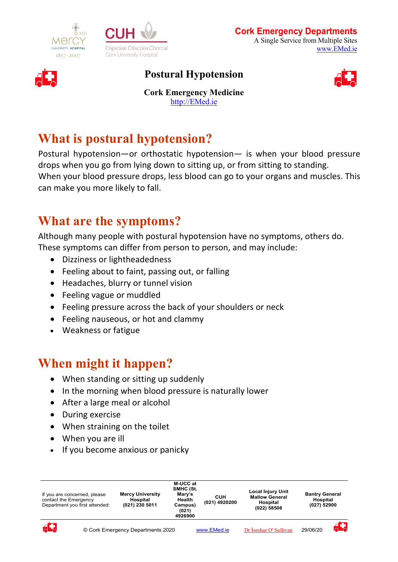





#### **Postural Hypotension**



**Cork Emergency Medicine** http://EMed.ie

# **What is postural hypotension?**

Postural hypotension—or orthostatic hypotension— is when your blood pressure drops when you go from lying down to sitting up, or from sitting to standing. When your blood pressure drops, less blood can go to your organs and muscles. This can make you more likely to fall.

# **What are the symptoms?**

Although many people with postural hypotension have no symptoms, others do. These symptoms can differ from person to person, and may include:

- Dizziness or lightheadedness
- Feeling about to faint, passing out, or falling
- Headaches, blurry or tunnel vision
- Feeling vague or muddled
- Feeling pressure across the back of your shoulders or neck
- Feeling nauseous, or hot and clammy
- Weakness or fatigue

# **When might it happen?**

- When standing or sitting up suddenly
- In the morning when blood pressure is naturally lower
- After a large meal or alcohol
- During exercise
- When straining on the toilet
- When you are ill
- If you become anxious or panicky

| If you are concerned, please<br>contact the Emergency<br>Department you first attended: |  | M-UCC at<br>SMHC (St.<br><b>Mercy University</b><br>Mary's<br><b>Health</b><br><b>Hospital</b><br>(021) 230 5011<br>Campus)<br>(021)<br>4926900 |  | CUH<br>(021) 4920200 | <b>Local Injury Unit</b><br><b>Mallow General</b><br>Hospital<br>(022) 58506 | <b>Bantry General</b><br>Hospital<br>(027) 52900 |  |
|-----------------------------------------------------------------------------------------|--|-------------------------------------------------------------------------------------------------------------------------------------------------|--|----------------------|------------------------------------------------------------------------------|--------------------------------------------------|--|
| d.                                                                                      |  | © Cork Emergency Departments 2020                                                                                                               |  | <b>WWW FMed ie</b>   | Dr İomhar O' Sullivan                                                        | 29/06/20                                         |  |